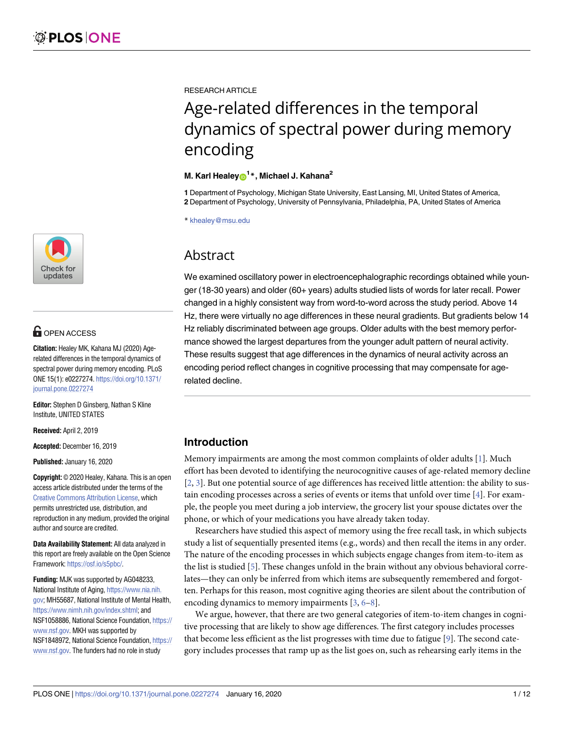

# **G** OPEN ACCESS

**Citation:** Healey MK, Kahana MJ (2020) Agerelated differences in the temporal dynamics of spectral power during memory encoding. PLoS ONE 15(1): e0227274. [https://doi.org/10.1371/](https://doi.org/10.1371/journal.pone.0227274) [journal.pone.0227274](https://doi.org/10.1371/journal.pone.0227274)

**Editor:** Stephen D Ginsberg, Nathan S Kline Institute, UNITED STATES

**Received:** April 2, 2019

**Accepted:** December 16, 2019

**Published:** January 16, 2020

**Copyright:** © 2020 Healey, Kahana. This is an open access article distributed under the terms of the Creative Commons [Attribution](http://creativecommons.org/licenses/by/4.0/) License, which permits unrestricted use, distribution, and reproduction in any medium, provided the original author and source are credited.

**Data Availability Statement:** All data analyzed in this report are freely available on the Open Science Framework: <https://osf.io/s5pbc/>.

**Funding:** MJK was supported by AG048233, National Institute of Aging, [https://www.nia.nih.](https://www.nia.nih.gov) [gov;](https://www.nia.nih.gov) MH55687, National Institute of Mental Health, <https://www.nimh.nih.gov/index.shtml>; and NSF1058886, National Science Foundation, [https://](https://www.nsf.gov) [www.nsf.gov](https://www.nsf.gov). MKH was supported by NSF1848972, National Science Foundation, [https://](https://www.nsf.gov) [www.nsf.gov](https://www.nsf.gov). The funders had no role in study

<span id="page-0-0"></span>RESEARCH ARTICLE

# Age-related differences in the temporal dynamics of spectral power during memory encoding

# **M. Karl Healey[ID1](http://orcid.org/0000-0002-2816-3536) \*, Michael J. Kahana2**

**1** Department of Psychology, Michigan State University, East Lansing, MI, United States of America, **2** Department of Psychology, University of Pennsylvania, Philadelphia, PA, United States of America

\* khealey@msu.edu

# Abstract

We examined oscillatory power in electroencephalographic recordings obtained while younger (18-30 years) and older (60+ years) adults studied lists of words for later recall. Power changed in a highly consistent way from word-to-word across the study period. Above 14 Hz, there were virtually no age differences in these neural gradients. But gradients below 14 Hz reliably discriminated between age groups. Older adults with the best memory performance showed the largest departures from the younger adult pattern of neural activity. These results suggest that age differences in the dynamics of neural activity across an encoding period reflect changes in cognitive processing that may compensate for agerelated decline.

# **Introduction**

Memory impairments are among the most common complaints of older adults [\[1\]](#page-9-0). Much effort has been devoted to identifying the neurocognitive causes of age-related memory decline [\[2](#page-9-0), [3](#page-9-0)]. But one potential source of age differences has received little attention: the ability to sustain encoding processes across a series of events or items that unfold over time [\[4](#page-9-0)]. For example, the people you meet during a job interview, the grocery list your spouse dictates over the phone, or which of your medications you have already taken today.

Researchers have studied this aspect of memory using the free recall task, in which subjects study a list of sequentially presented items (e.g., words) and then recall the items in any order. The nature of the encoding processes in which subjects engage changes from item-to-item as the list is studied [\[5\]](#page-9-0). These changes unfold in the brain without any obvious behavioral correlates—they can only be inferred from which items are subsequently remembered and forgotten. Perhaps for this reason, most cognitive aging theories are silent about the contribution of encoding dynamics to memory impairments  $[3, 6-8]$  $[3, 6-8]$ .

We argue, however, that there are two general categories of item-to-item changes in cognitive processing that are likely to show age differences. The first category includes processes that become less efficient as the list progresses with time due to fatigue [\[9](#page-10-0)]. The second category includes processes that ramp up as the list goes on, such as rehearsing early items in the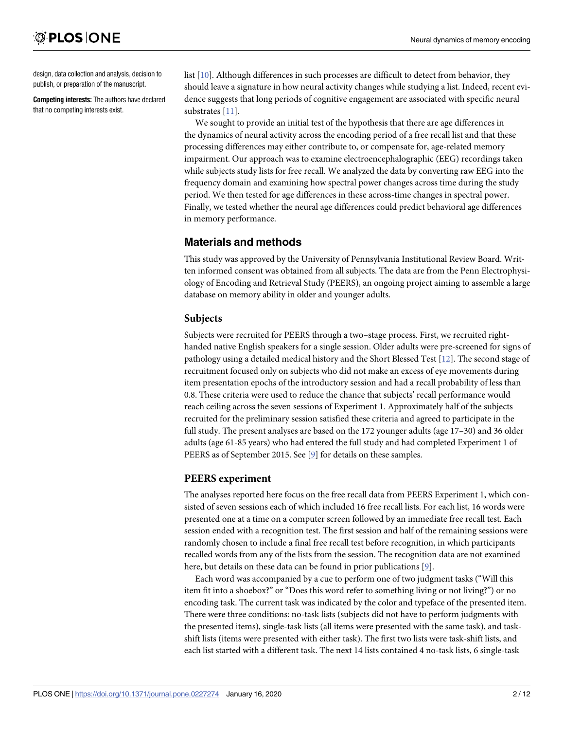<span id="page-1-0"></span>design, data collection and analysis, decision to publish, or preparation of the manuscript.

**Competing interests:** The authors have declared that no competing interests exist.

list [\[10\]](#page-10-0). Although differences in such processes are difficult to detect from behavior, they should leave a signature in how neural activity changes while studying a list. Indeed, recent evidence suggests that long periods of cognitive engagement are associated with specific neural substrates [\[11\]](#page-10-0).

We sought to provide an initial test of the hypothesis that there are age differences in the dynamics of neural activity across the encoding period of a free recall list and that these processing differences may either contribute to, or compensate for, age-related memory impairment. Our approach was to examine electroencephalographic (EEG) recordings taken while subjects study lists for free recall. We analyzed the data by converting raw EEG into the frequency domain and examining how spectral power changes across time during the study period. We then tested for age differences in these across-time changes in spectral power. Finally, we tested whether the neural age differences could predict behavioral age differences in memory performance.

# **Materials and methods**

This study was approved by the University of Pennsylvania Institutional Review Board. Written informed consent was obtained from all subjects. The data are from the Penn Electrophysiology of Encoding and Retrieval Study (PEERS), an ongoing project aiming to assemble a large database on memory ability in older and younger adults.

# **Subjects**

Subjects were recruited for PEERS through a two–stage process. First, we recruited righthanded native English speakers for a single session. Older adults were pre-screened for signs of pathology using a detailed medical history and the Short Blessed Test [[12](#page-10-0)]. The second stage of recruitment focused only on subjects who did not make an excess of eye movements during item presentation epochs of the introductory session and had a recall probability of less than 0.8. These criteria were used to reduce the chance that subjects' recall performance would reach ceiling across the seven sessions of Experiment 1. Approximately half of the subjects recruited for the preliminary session satisfied these criteria and agreed to participate in the full study. The present analyses are based on the 172 younger adults (age 17–30) and 36 older adults (age 61-85 years) who had entered the full study and had completed Experiment 1 of PEERS as of September 2015. See [[9](#page-10-0)] for details on these samples.

# **PEERS experiment**

The analyses reported here focus on the free recall data from PEERS Experiment 1, which consisted of seven sessions each of which included 16 free recall lists. For each list, 16 words were presented one at a time on a computer screen followed by an immediate free recall test. Each session ended with a recognition test. The first session and half of the remaining sessions were randomly chosen to include a final free recall test before recognition, in which participants recalled words from any of the lists from the session. The recognition data are not examined here, but details on these data can be found in prior publications [\[9\]](#page-10-0).

Each word was accompanied by a cue to perform one of two judgment tasks ("Will this item fit into a shoebox?" or "Does this word refer to something living or not living?") or no encoding task. The current task was indicated by the color and typeface of the presented item. There were three conditions: no-task lists (subjects did not have to perform judgments with the presented items), single-task lists (all items were presented with the same task), and taskshift lists (items were presented with either task). The first two lists were task-shift lists, and each list started with a different task. The next 14 lists contained 4 no-task lists, 6 single-task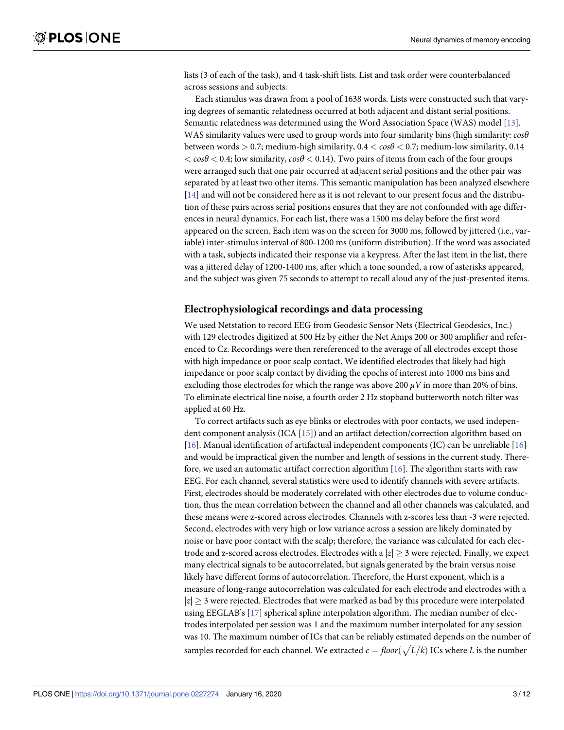<span id="page-2-0"></span>lists (3 of each of the task), and 4 task-shift lists. List and task order were counterbalanced across sessions and subjects.

Each stimulus was drawn from a pool of 1638 words. Lists were constructed such that varying degrees of semantic relatedness occurred at both adjacent and distant serial positions. Semantic relatedness was determined using the Word Association Space (WAS) model [\[13\]](#page-10-0). WAS similarity values were used to group words into four similarity bins (high similarity: *cosθ* between words *>* 0.7; medium-high similarity, 0.4 *< cosθ <* 0.7; medium-low similarity, 0.14 *< cosθ <* 0.4; low similarity, *cosθ <* 0.14). Two pairs of items from each of the four groups were arranged such that one pair occurred at adjacent serial positions and the other pair was separated by at least two other items. This semantic manipulation has been analyzed elsewhere [\[14\]](#page-10-0) and will not be considered here as it is not relevant to our present focus and the distribution of these pairs across serial positions ensures that they are not confounded with age differences in neural dynamics. For each list, there was a 1500 ms delay before the first word appeared on the screen. Each item was on the screen for 3000 ms, followed by jittered (i.e., variable) inter-stimulus interval of 800-1200 ms (uniform distribution). If the word was associated with a task, subjects indicated their response via a keypress. After the last item in the list, there was a jittered delay of 1200-1400 ms, after which a tone sounded, a row of asterisks appeared, and the subject was given 75 seconds to attempt to recall aloud any of the just-presented items.

#### **Electrophysiological recordings and data processing**

We used Netstation to record EEG from Geodesic Sensor Nets (Electrical Geodesics, Inc.) with 129 electrodes digitized at 500 Hz by either the Net Amps 200 or 300 amplifier and referenced to Cz. Recordings were then rereferenced to the average of all electrodes except those with high impedance or poor scalp contact. We identified electrodes that likely had high impedance or poor scalp contact by dividing the epochs of interest into 1000 ms bins and excluding those electrodes for which the range was above 200  $\mu$ V in more than 20% of bins. To eliminate electrical line noise, a fourth order 2 Hz stopband butterworth notch filter was applied at 60 Hz.

To correct artifacts such as eye blinks or electrodes with poor contacts, we used independent component analysis (ICA [\[15\]](#page-10-0)) and an artifact detection/correction algorithm based on [\[16\]](#page-10-0). Manual identification of artifactual independent components (IC) can be unreliable [\[16\]](#page-10-0) and would be impractical given the number and length of sessions in the current study. Therefore, we used an automatic artifact correction algorithm [\[16\]](#page-10-0). The algorithm starts with raw EEG. For each channel, several statistics were used to identify channels with severe artifacts. First, electrodes should be moderately correlated with other electrodes due to volume conduction, thus the mean correlation between the channel and all other channels was calculated, and these means were z-scored across electrodes. Channels with z-scores less than -3 were rejected. Second, electrodes with very high or low variance across a session are likely dominated by noise or have poor contact with the scalp; therefore, the variance was calculated for each electrode and z-scored across electrodes. Electrodes with a  $|z| \geq 3$  were rejected. Finally, we expect many electrical signals to be autocorrelated, but signals generated by the brain versus noise likely have different forms of autocorrelation. Therefore, the Hurst exponent, which is a measure of long-range autocorrelation was calculated for each electrode and electrodes with a  $|z| > 3$  were rejected. Electrodes that were marked as bad by this procedure were interpolated using EEGLAB's [[17](#page-10-0)] spherical spline interpolation algorithm. The median number of electrodes interpolated per session was 1 and the maximum number interpolated for any session was 10. The maximum number of ICs that can be reliably estimated depends on the number of was formation mannel of the state can be relately estimated depends on the number of samples recorded for each channel. We extracted  $c = floor(\sqrt{L/k})$  ICs where *L* is the number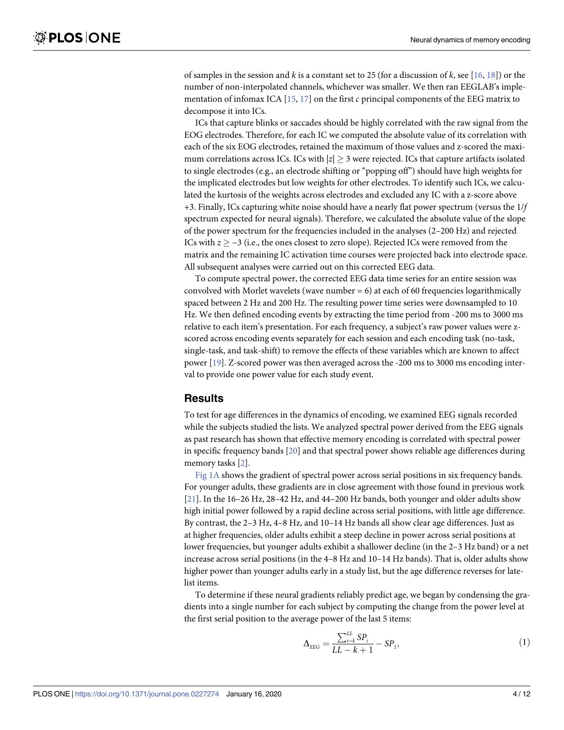<span id="page-3-0"></span>of samples in the session and *k* is a constant set to 25 (for a discussion of *k*, see [[16](#page-10-0), [18\]](#page-10-0)) or the number of non-interpolated channels, whichever was smaller. We then ran EEGLAB's implementation of infomax ICA [[15](#page-10-0), [17](#page-10-0)] on the first *c* principal components of the EEG matrix to decompose it into ICs.

ICs that capture blinks or saccades should be highly correlated with the raw signal from the EOG electrodes. Therefore, for each IC we computed the absolute value of its correlation with each of the six EOG electrodes, retained the maximum of those values and z-scored the maximum correlations across ICs. ICs with  $|z| \geq 3$  were rejected. ICs that capture artifacts isolated to single electrodes (e.g., an electrode shifting or "popping off") should have high weights for the implicated electrodes but low weights for other electrodes. To identify such ICs, we calculated the kurtosis of the weights across electrodes and excluded any IC with a z-score above +3. Finally, ICs capturing white noise should have a nearly flat power spectrum (versus the 1/*f* spectrum expected for neural signals). Therefore, we calculated the absolute value of the slope of the power spectrum for the frequencies included in the analyses (2–200 Hz) and rejected ICs with  $z \ge -3$  (i.e., the ones closest to zero slope). Rejected ICs were removed from the matrix and the remaining IC activation time courses were projected back into electrode space. All subsequent analyses were carried out on this corrected EEG data.

To compute spectral power, the corrected EEG data time series for an entire session was convolved with Morlet wavelets (wave number  $= 6$ ) at each of 60 frequencies logarithmically spaced between 2 Hz and 200 Hz. The resulting power time series were downsampled to 10 Hz. We then defined encoding events by extracting the time period from -200 ms to 3000 ms relative to each item's presentation. For each frequency, a subject's raw power values were zscored across encoding events separately for each session and each encoding task (no-task, single-task, and task-shift) to remove the effects of these variables which are known to affect power [[19](#page-10-0)]. Z-scored power was then averaged across the -200 ms to 3000 ms encoding interval to provide one power value for each study event.

#### **Results**

To test for age differences in the dynamics of encoding, we examined EEG signals recorded while the subjects studied the lists. We analyzed spectral power derived from the EEG signals as past research has shown that effective memory encoding is correlated with spectral power in specific frequency bands [[20\]](#page-10-0) and that spectral power shows reliable age differences during memory tasks [\[2\]](#page-9-0).

[Fig](#page-4-0) 1A shows the gradient of spectral power across serial positions in six frequency bands. For younger adults, these gradients are in close agreement with those found in previous work [\[21\]](#page-10-0). In the 16–26 Hz, 28–42 Hz, and 44–200 Hz bands, both younger and older adults show high initial power followed by a rapid decline across serial positions, with little age difference. By contrast, the 2–3 Hz, 4–8 Hz, and 10–14 Hz bands all show clear age differences. Just as at higher frequencies, older adults exhibit a steep decline in power across serial positions at lower frequencies, but younger adults exhibit a shallower decline (in the 2–3 Hz band) or a net increase across serial positions (in the 4–8 Hz and 10–14 Hz bands). That is, older adults show higher power than younger adults early in a study list, but the age difference reverses for latelist items.

To determine if these neural gradients reliably predict age, we began by condensing the gradients into a single number for each subject by computing the change from the power level at the first serial position to the average power of the last 5 items:

$$
\Delta_{EEG} = \frac{\sum_{i=k}^{LL} SP_i}{LL - k + 1} - SP_1,\tag{1}
$$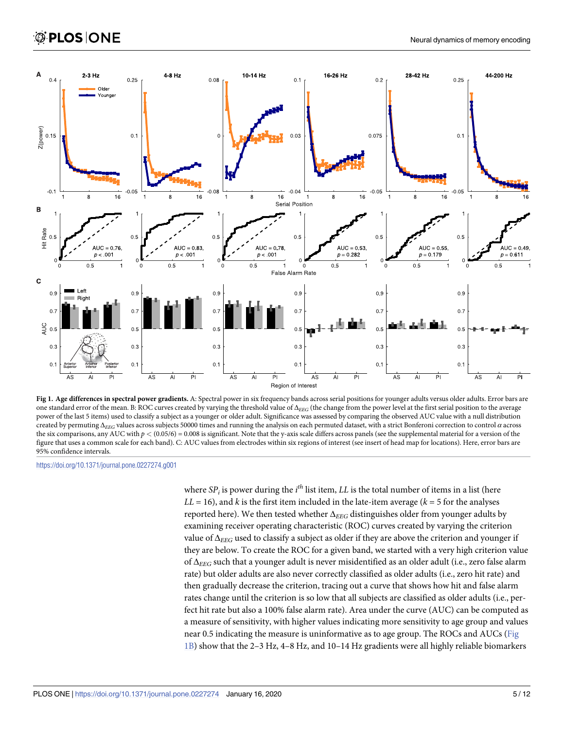<span id="page-4-0"></span>

[Fig](#page-3-0) 1. Age differences in spectral power gradients. A: Spectral power in six frequency bands across serial positions for younger adults versus older adults. Error bars are one standard error of the mean. B: ROC curves created by varying the threshold value of Δ*EEG* (the change from the power level at the first serial position to the average power of the last 5 items) used to classify a subject as a younger or older adult. Significance was assessed by comparing the observed AUC value with a null distribution created by permuting Δ*EEG* values across subjects 50000 times and running the analysis on each permuted dataset, with a strict Bonferoni correction to control *α* across the six comparisons, any AUC with  $p < (0.05/6) = 0.008$  is significant. Note that the y-axis scale differs across panels (see the supplemental material for a version of the figure that uses a common scale for each band). C: AUC values from electrodes within six regions of interest (see insert of head map for locations). Here, error bars are 95% confidence intervals.

where  $\textit{SP}_{i}$  is power during the  $i^{th}$  list item,  $LL$  is the total number of items in a list (here  $LL = 16$ ), and *k* is the first item included in the late-item average ( $k = 5$  for the analyses reported here). We then tested whether Δ*EEG* distinguishes older from younger adults by examining receiver operating characteristic (ROC) curves created by varying the criterion value of  $\Delta_{EEG}$  used to classify a subject as older if they are above the criterion and younger if they are below. To create the ROC for a given band, we started with a very high criterion value of Δ*EEG* such that a younger adult is never misidentified as an older adult (i.e., zero false alarm rate) but older adults are also never correctly classified as older adults (i.e., zero hit rate) and then gradually decrease the criterion, tracing out a curve that shows how hit and false alarm rates change until the criterion is so low that all subjects are classified as older adults (i.e., perfect hit rate but also a 100% false alarm rate). Area under the curve (AUC) can be computed as a measure of sensitivity, with higher values indicating more sensitivity to age group and values near 0.5 indicating the measure is uninformative as to age group. The ROCs and AUCs (Fig 1B) show that the 2–3 Hz, 4–8 Hz, and 10–14 Hz gradients were all highly reliable biomarkers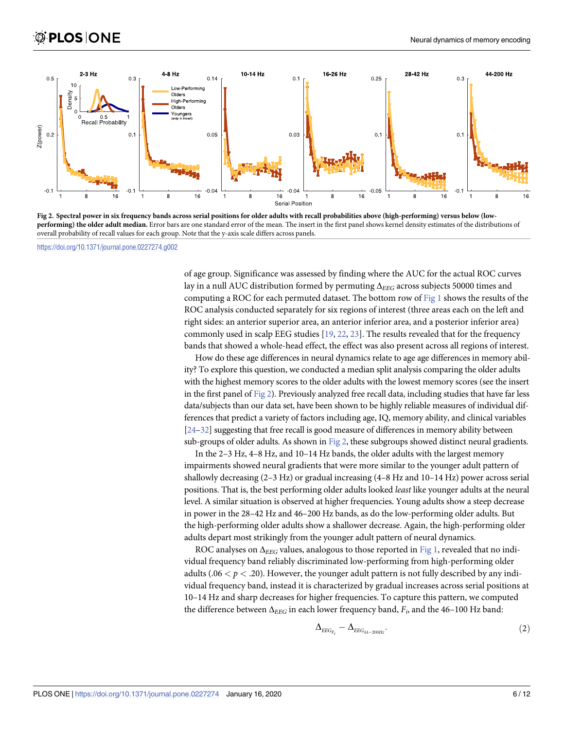<span id="page-5-0"></span>

Fig 2. Spectral power in six frequency bands across serial positions for older adults with recall probabilities above (high-performing) versus below (low**performing) the older adult median.** Error bars are one standard error of the mean. The insert in the first panel shows kernel density estimates of the distributions of overall probability of recall values for each group. Note that the y-axis scale differs across panels.

of age group. Significance was assessed by finding where the AUC for the actual ROC curves lay in a null AUC distribution formed by permuting Δ*EEG* across subjects 50000 times and computing a ROC for each permuted dataset. The bottom row of [Fig](#page-4-0) 1 shows the results of the ROC analysis conducted separately for six regions of interest (three areas each on the left and right sides: an anterior superior area, an anterior inferior area, and a posterior inferior area) commonly used in scalp EEG studies [\[19,](#page-10-0) [22,](#page-10-0) [23\]](#page-10-0). The results revealed that for the frequency bands that showed a whole-head effect, the effect was also present across all regions of interest.

How do these age differences in neural dynamics relate to age age differences in memory ability? To explore this question, we conducted a median split analysis comparing the older adults with the highest memory scores to the older adults with the lowest memory scores (see the insert in the first panel of Fig 2). Previously analyzed free recall data, including studies that have far less data/subjects than our data set, have been shown to be highly reliable measures of individual differences that predict a variety of factors including age, IQ, memory ability, and clinical variables [\[24–](#page-10-0)[32\]](#page-11-0) suggesting that free recall is good measure of differences in memory ability between sub-groups of older adults. As shown in Fig 2, these subgroups showed distinct neural gradients.

In the 2–3 Hz, 4–8 Hz, and 10–14 Hz bands, the older adults with the largest memory impairments showed neural gradients that were more similar to the younger adult pattern of shallowly decreasing (2–3 Hz) or gradual increasing (4–8 Hz and 10–14 Hz) power across serial positions. That is, the best performing older adults looked *least* like younger adults at the neural level. A similar situation is observed at higher frequencies. Young adults show a steep decrease in power in the 28–42 Hz and 46–200 Hz bands, as do the low-performing older adults. But the high-performing older adults show a shallower decrease. Again, the high-performing older adults depart most strikingly from the younger adult pattern of neural dynamics.

ROC analyses on  $\Delta_{EEG}$  values, analogous to those reported in [Fig](#page-4-0) 1, revealed that no individual frequency band reliably discriminated low-performing from high-performing older adults ( $.06 < p < .20$ ). However, the younger adult pattern is not fully described by any individual frequency band, instead it is characterized by gradual increases across serial positions at 10–14 Hz and sharp decreases for higher frequencies. To capture this pattern, we computed the difference between Δ*EEG* in each lower frequency band, *Fi*, and the 46–100 Hz band:

$$
\Delta_{EEG_{F_i}} - \Delta_{EEG_{44-200Hz}}.\tag{2}
$$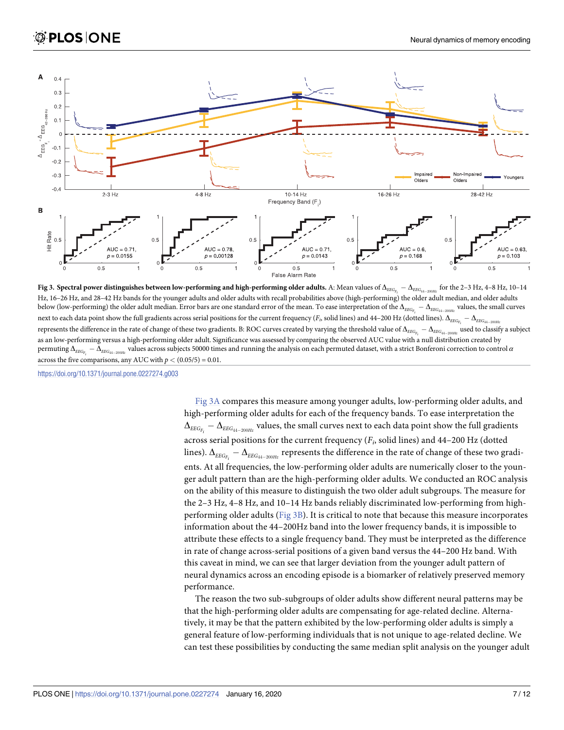

Fig 3. Spectral power distinguishes between low-performing and high-performing older adults. A: Mean values of  $\Delta_{EEG_{F_i}}-\Delta_{EEG_{44-200He}}$  for the 2–3 Hz, 4–8 Hz, 10–14 Hz, 16–26 Hz, and 28–42 Hz bands for the younger adults and older adults with recall probabilities above (high-performing) the older adult median, and older adults below (low-performing) the older adult median. Error bars are one standard error of the mean. To ease interpretation of the  $\Delta_{_{EEG_{F_i}}} - \Delta_{_{EEG_{_{4i-200Hz}}}}$  values, the small curves next to each data point show the full gradients across serial positions for the current frequency ( $F_p$  solid lines) and 44–200 Hz (dotted lines).  $\Delta_{\rm{EEG}_{F_i}}-\Delta_{\rm{EEG}_{44-200He}}$ represents the difference in the rate of change of these two gradients. B: ROC curves created by varying the threshold value of  $\Delta_{\rm{EEG}_{F_i}}-\Delta_{\rm{EEG}_{44-200\textit{Hz}}}$  used to classify a subject as an low-performing versus a high-performing older adult. Significance was assessed by comparing the observed AUC value with a null distribution created by permuting  $\Delta_{_{EEG_{F_i}}} - \Delta_{_{EEG_{44-200Hz}}}$  values across subjects 50000 times and running the analysis on each permuted dataset, with a strict Bonferoni correction to control  $\alpha$ across the five comparisons, any AUC with  $p < (0.05/5) = 0.01$ .

Fig 3A compares this measure among younger adults, low-performing older adults, and high-performing older adults for each of the frequency bands. To ease interpretation the  $\Delta_{_{EEG_{F_i}}} - \Delta_{_{EEG_{44-200Hz}}}$  values, the small curves next to each data point show the full gradients across serial positions for the current frequency (*Fi*, solid lines) and 44–200 Hz (dotted lines).  $\Delta_{_{EEG_{F_i}}} - \Delta_{_{EEG_{44-200Hz}}}$  represents the difference in the rate of change of these two gradients. At all frequencies, the low-performing older adults are numerically closer to the younger adult pattern than are the high-performing older adults. We conducted an ROC analysis on the ability of this measure to distinguish the two older adult subgroups. The measure for the 2–3 Hz, 4–8 Hz, and 10–14 Hz bands reliably discriminated low-performing from highperforming older adults (Fig  $3B$ ). It is critical to note that because this measure incorporates information about the 44–200Hz band into the lower frequency bands, it is impossible to attribute these effects to a single frequency band. They must be interpreted as the difference in rate of change across-serial positions of a given band versus the 44–200 Hz band. With this caveat in mind, we can see that larger deviation from the younger adult pattern of neural dynamics across an encoding episode is a biomarker of relatively preserved memory performance.

The reason the two sub-subgroups of older adults show different neural patterns may be that the high-performing older adults are compensating for age-related decline. Alternatively, it may be that the pattern exhibited by the low-performing older adults is simply a general feature of low-performing individuals that is not unique to age-related decline. We can test these possibilities by conducting the same median split analysis on the younger adult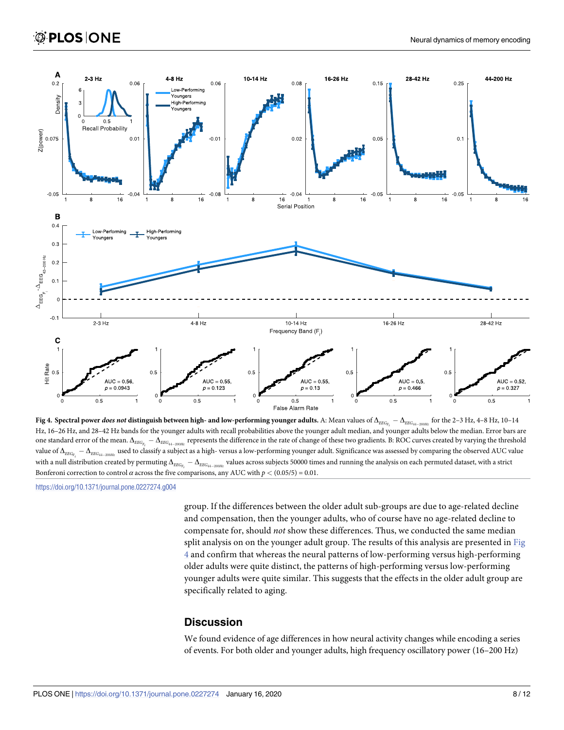

**Fig 4.** Spectral power *does not* distinguish between high- and low-performing younger adults. A: Mean values of  $\Delta_{EEG_{F_i}} - \Delta_{EEG_{44-200He}}$ for the 2-3 Hz, 4-8 Hz, 10-14 Hz, 16–26 Hz, and 28–42 Hz bands for the younger adults with recall probabilities above the younger adult median, and younger adults below the median. Error bars are one standard error of the mean.  $\Delta_{\textit{EEG}_{F_i}}-\Delta_{\textit{EEG}_{44-200\textit{Hz}}}$  represents the difference in the rate of change of these two gradients. B: ROC curves created by varying the threshold value of  $\Delta_{EEG_{F_i}}-\Delta_{EEG_{44-200Hz}}$  used to classify a subject as a high- versus a low-performing younger adult. Significance was assessed by comparing the observed AUC value with a null distribution created by permuting  $\Delta_{\rm EEG_{F_i}}-\Delta_{\rm EEG_{44-200Hz}}$  values across subjects 50000 times and running the analysis on each permuted dataset, with a strict Bonferoni correction to control  $\alpha$  across the five comparisons, any AUC with  $p < (0.05/5) = 0.01$ .

group. If the differences between the older adult sub-groups are due to age-related decline and compensation, then the younger adults, who of course have no age-related decline to compensate for, should *not* show these differences. Thus, we conducted the same median split analysis on on the younger adult group. The results of this analysis are presented in Fig 4 and confirm that whereas the neural patterns of low-performing versus high-performing older adults were quite distinct, the patterns of high-performing versus low-performing younger adults were quite similar. This suggests that the effects in the older adult group are specifically related to aging.

# **Discussion**

We found evidence of age differences in how neural activity changes while encoding a series of events. For both older and younger adults, high frequency oscillatory power (16–200 Hz)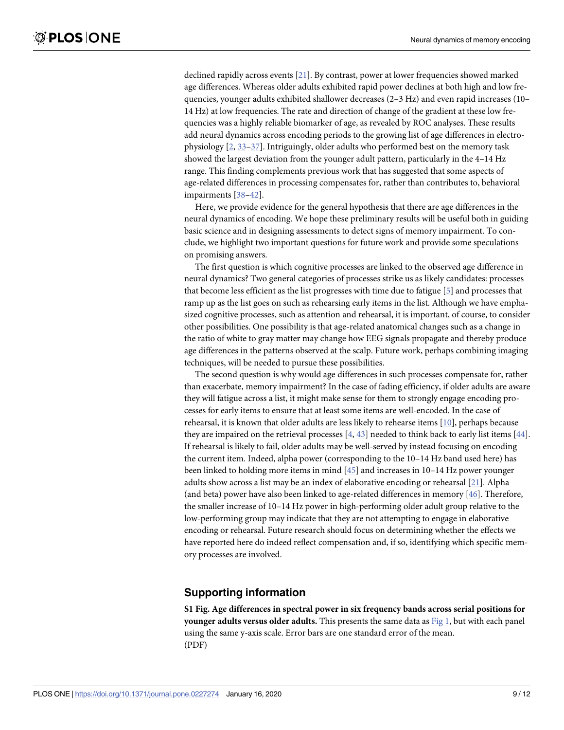<span id="page-8-0"></span>declined rapidly across events [[21](#page-10-0)]. By contrast, power at lower frequencies showed marked age differences. Whereas older adults exhibited rapid power declines at both high and low frequencies, younger adults exhibited shallower decreases (2–3 Hz) and even rapid increases (10– 14 Hz) at low frequencies. The rate and direction of change of the gradient at these low frequencies was a highly reliable biomarker of age, as revealed by ROC analyses. These results add neural dynamics across encoding periods to the growing list of age differences in electrophysiology [[2](#page-9-0), [33](#page-11-0)–[37](#page-11-0)]. Intriguingly, older adults who performed best on the memory task showed the largest deviation from the younger adult pattern, particularly in the 4–14 Hz range. This finding complements previous work that has suggested that some aspects of age-related differences in processing compensates for, rather than contributes to, behavioral impairments [[38](#page-11-0)–[42](#page-11-0)].

Here, we provide evidence for the general hypothesis that there are age differences in the neural dynamics of encoding. We hope these preliminary results will be useful both in guiding basic science and in designing assessments to detect signs of memory impairment. To conclude, we highlight two important questions for future work and provide some speculations on promising answers.

The first question is which cognitive processes are linked to the observed age difference in neural dynamics? Two general categories of processes strike us as likely candidates: processes that become less efficient as the list progresses with time due to fatigue [\[5](#page-9-0)] and processes that ramp up as the list goes on such as rehearsing early items in the list. Although we have emphasized cognitive processes, such as attention and rehearsal, it is important, of course, to consider other possibilities. One possibility is that age-related anatomical changes such as a change in the ratio of white to gray matter may change how EEG signals propagate and thereby produce age differences in the patterns observed at the scalp. Future work, perhaps combining imaging techniques, will be needed to pursue these possibilities.

The second question is why would age differences in such processes compensate for, rather than exacerbate, memory impairment? In the case of fading efficiency, if older adults are aware they will fatigue across a list, it might make sense for them to strongly engage encoding processes for early items to ensure that at least some items are well-encoded. In the case of rehearsal, it is known that older adults are less likely to rehearse items [[10](#page-10-0)], perhaps because they are impaired on the retrieval processes [[4,](#page-9-0) [43\]](#page-11-0) needed to think back to early list items [[44](#page-11-0)]. If rehearsal is likely to fail, older adults may be well-served by instead focusing on encoding the current item. Indeed, alpha power (corresponding to the 10–14 Hz band used here) has been linked to holding more items in mind [[45](#page-11-0)] and increases in 10–14 Hz power younger adults show across a list may be an index of elaborative encoding or rehearsal [[21](#page-10-0)]. Alpha (and beta) power have also been linked to age-related differences in memory [\[46](#page-11-0)]. Therefore, the smaller increase of 10–14 Hz power in high-performing older adult group relative to the low-performing group may indicate that they are not attempting to engage in elaborative encoding or rehearsal. Future research should focus on determining whether the effects we have reported here do indeed reflect compensation and, if so, identifying which specific memory processes are involved.

#### **Supporting information**

**S1 [Fig](http://www.plosone.org/article/fetchSingleRepresentation.action?uri=info:doi/10.1371/journal.pone.0227274.s001). Age differences in spectral power in six frequency bands across serial positions for younger adults versus older adults.** This presents the same data as [Fig](#page-4-0) 1, but with each panel using the same y-axis scale. Error bars are one standard error of the mean. (PDF)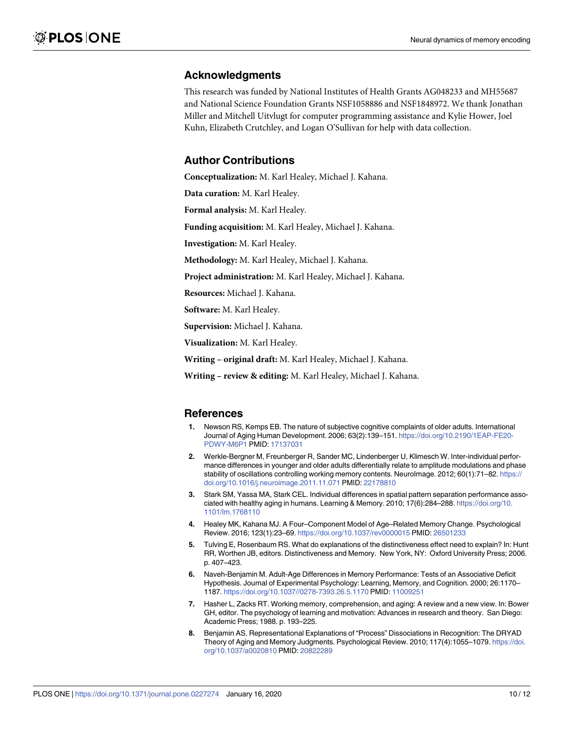# <span id="page-9-0"></span>**Acknowledgments**

This research was funded by National Institutes of Health Grants AG048233 and MH55687 and National Science Foundation Grants NSF1058886 and NSF1848972. We thank Jonathan Miller and Mitchell Uitvlugt for computer programming assistance and Kylie Hower, Joel Kuhn, Elizabeth Crutchley, and Logan O'Sullivan for help with data collection.

# **Author Contributions**

**Conceptualization:** M. Karl Healey, Michael J. Kahana.

**Data curation:** M. Karl Healey.

**Formal analysis:** M. Karl Healey.

**Funding acquisition:** M. Karl Healey, Michael J. Kahana.

**Investigation:** M. Karl Healey.

**Methodology:** M. Karl Healey, Michael J. Kahana.

**Project administration:** M. Karl Healey, Michael J. Kahana.

**Resources:** Michael J. Kahana.

**Software:** M. Karl Healey.

**Supervision:** Michael J. Kahana.

**Visualization:** M. Karl Healey.

**Writing – original draft:** M. Karl Healey, Michael J. Kahana.

**Writing – review & editing:** M. Karl Healey, Michael J. Kahana.

#### **References**

- **[1](#page-0-0).** Newson RS, Kemps EB. The nature of subjective cognitive complaints of older adults. International Journal of Aging Human Development. 2006; 63(2):139–151. [https://doi.org/10.2190/1EAP-FE20-](https://doi.org/10.2190/1EAP-FE20-PDWY-M6P1) [PDWY-M6P1](https://doi.org/10.2190/1EAP-FE20-PDWY-M6P1) PMID: [17137031](http://www.ncbi.nlm.nih.gov/pubmed/17137031)
- **[2](#page-0-0).** Werkle-Bergner M, Freunberger R, Sander MC, Lindenberger U, Klimesch W. Inter-individual performance differences in younger and older adults differentially relate to amplitude modulations and phase stability of oscillations controlling working memory contents. NeuroImage. 2012; 60(1):71–82. [https://](https://doi.org/10.1016/j.neuroimage.2011.11.071) [doi.org/10.1016/j.neuroimage.2011.11.071](https://doi.org/10.1016/j.neuroimage.2011.11.071) PMID: [22178810](http://www.ncbi.nlm.nih.gov/pubmed/22178810)
- **[3](#page-0-0).** Stark SM, Yassa MA, Stark CEL. Individual differences in spatial pattern separation performance associated with healthy aging in humans. Learning & Memory. 2010; 17(6):284–288. [https://doi.org/10.](https://doi.org/10.1101/lm.1768110) [1101/lm.1768110](https://doi.org/10.1101/lm.1768110)
- **[4](#page-0-0).** Healey MK, Kahana MJ. A Four–Component Model of Age–Related Memory Change. Psychological Review. 2016; 123(1):23–69. <https://doi.org/10.1037/rev0000015> PMID: [26501233](http://www.ncbi.nlm.nih.gov/pubmed/26501233)
- **[5](#page-0-0).** Tulving E, Rosenbaum RS. What do explanations of the distinctiveness effect need to explain? In: Hunt RR, Worthen JB, editors. Distinctiveness and Memory. New York, NY: Oxford University Press; 2006. p. 407–423.
- **[6](#page-0-0).** Naveh-Benjamin M. Adult-Age Differences in Memory Performance: Tests of an Associative Deficit Hypothesis. Journal of Experimental Psychology: Learning, Memory, and Cognition. 2000; 26:1170– 1187. <https://doi.org/10.1037//0278-7393.26.5.1170> PMID: [11009251](http://www.ncbi.nlm.nih.gov/pubmed/11009251)
- **7.** Hasher L, Zacks RT. Working memory, comprehension, and aging: A review and a new view. In: Bower GH, editor. The psychology of learning and motivation: Advances in research and theory. San Diego: Academic Press; 1988. p. 193–225.
- **[8](#page-0-0).** Benjamin AS. Representational Explanations of "Process" Dissociations in Recognition: The DRYAD Theory of Aging and Memory Judgments. Psychological Review. 2010; 117(4):1055–1079. [https://doi.](https://doi.org/10.1037/a0020810) [org/10.1037/a0020810](https://doi.org/10.1037/a0020810) PMID: [20822289](http://www.ncbi.nlm.nih.gov/pubmed/20822289)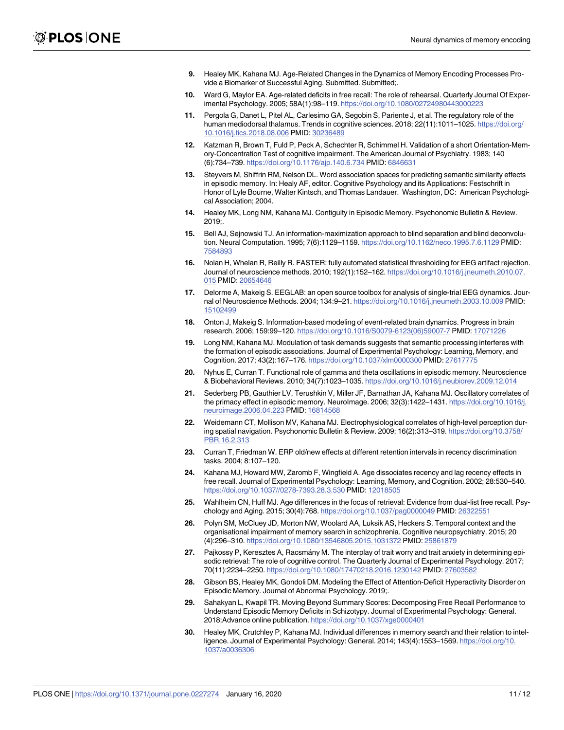- <span id="page-10-0"></span>**[9](#page-0-0).** Healey MK, Kahana MJ. Age-Related Changes in the Dynamics of Memory Encoding Processes Provide a Biomarker of Successful Aging. Submitted. Submitted;.
- **[10](#page-1-0).** Ward G, Maylor EA. Age-related deficits in free recall: The role of rehearsal. Quarterly Journal Of Experimental Psychology. 2005; 58A(1):98–119. <https://doi.org/10.1080/02724980443000223>
- **[11](#page-1-0).** Pergola G, Danet L, Pitel AL, Carlesimo GA, Segobin S, Pariente J, et al. The regulatory role of the human mediodorsal thalamus. Trends in cognitive sciences. 2018; 22(11):1011–1025. [https://doi.org/](https://doi.org/10.1016/j.tics.2018.08.006) [10.1016/j.tics.2018.08.006](https://doi.org/10.1016/j.tics.2018.08.006) PMID: [30236489](http://www.ncbi.nlm.nih.gov/pubmed/30236489)
- **[12](#page-1-0).** Katzman R, Brown T, Fuld P, Peck A, Schechter R, Schimmel H. Validation of a short Orientation-Memory-Concentration Test of cognitive impairment. The American Journal of Psychiatry. 1983; 140 (6):734–739. <https://doi.org/10.1176/ajp.140.6.734> PMID: [6846631](http://www.ncbi.nlm.nih.gov/pubmed/6846631)
- **[13](#page-2-0).** Steyvers M, Shiffrin RM, Nelson DL. Word association spaces for predicting semantic similarity effects in episodic memory. In: Healy AF, editor. Cognitive Psychology and its Applications: Festschrift in Honor of Lyle Bourne, Walter Kintsch, and Thomas Landauer. Washington, DC: American Psychological Association; 2004.
- **[14](#page-2-0).** Healey MK, Long NM, Kahana MJ. Contiguity in Episodic Memory. Psychonomic Bulletin & Review. 2019;.
- **[15](#page-2-0).** Bell AJ, Sejnowski TJ. An information-maximization approach to blind separation and blind deconvolution. Neural Computation. 1995; 7(6):1129–1159. <https://doi.org/10.1162/neco.1995.7.6.1129> PMID: [7584893](http://www.ncbi.nlm.nih.gov/pubmed/7584893)
- **[16](#page-2-0).** Nolan H, Whelan R, Reilly R. FASTER: fully automated statistical thresholding for EEG artifact rejection. Journal of neuroscience methods. 2010; 192(1):152–162. [https://doi.org/10.1016/j.jneumeth.2010.07.](https://doi.org/10.1016/j.jneumeth.2010.07.015) [015](https://doi.org/10.1016/j.jneumeth.2010.07.015) PMID: [20654646](http://www.ncbi.nlm.nih.gov/pubmed/20654646)
- **[17](#page-2-0).** Delorme A, Makeig S. EEGLAB: an open source toolbox for analysis of single-trial EEG dynamics. Journal of Neuroscience Methods. 2004; 134:9–21. <https://doi.org/10.1016/j.jneumeth.2003.10.009> PMID: [15102499](http://www.ncbi.nlm.nih.gov/pubmed/15102499)
- **[18](#page-3-0).** Onton J, Makeig S. Information-based modeling of event-related brain dynamics. Progress in brain research. 2006; 159:99–120. [https://doi.org/10.1016/S0079-6123\(06\)59007-7](https://doi.org/10.1016/S0079-6123(06)59007-7) PMID: [17071226](http://www.ncbi.nlm.nih.gov/pubmed/17071226)
- **[19](#page-3-0).** Long NM, Kahana MJ. Modulation of task demands suggests that semantic processing interferes with the formation of episodic associations. Journal of Experimental Psychology: Learning, Memory, and Cognition. 2017; 43(2):167–176. <https://doi.org/10.1037/xlm0000300> PMID: [27617775](http://www.ncbi.nlm.nih.gov/pubmed/27617775)
- **[20](#page-3-0).** Nyhus E, Curran T. Functional role of gamma and theta oscillations in episodic memory. Neuroscience & Biobehavioral Reviews. 2010; 34(7):1023–1035. <https://doi.org/10.1016/j.neubiorev.2009.12.014>
- **[21](#page-3-0).** Sederberg PB, Gauthier LV, Terushkin V, Miller JF, Barnathan JA, Kahana MJ. Oscillatory correlates of the primacy effect in episodic memory. NeuroImage. 2006; 32(3):1422–1431. [https://doi.org/10.1016/j.](https://doi.org/10.1016/j.neuroimage.2006.04.223) [neuroimage.2006.04.223](https://doi.org/10.1016/j.neuroimage.2006.04.223) PMID: [16814568](http://www.ncbi.nlm.nih.gov/pubmed/16814568)
- **[22](#page-5-0).** Weidemann CT, Mollison MV, Kahana MJ. Electrophysiological correlates of high-level perception during spatial navigation. Psychonomic Bulletin & Review. 2009; 16(2):313–319. [https://doi.org/10.3758/](https://doi.org/10.3758/PBR.16.2.313) [PBR.16.2.313](https://doi.org/10.3758/PBR.16.2.313)
- **[23](#page-5-0).** Curran T, Friedman W. ERP old/new effects at different retention intervals in recency discrimination tasks. 2004; 8:107–120.
- **[24](#page-5-0).** Kahana MJ, Howard MW, Zaromb F, Wingfield A. Age dissociates recency and lag recency effects in free recall. Journal of Experimental Psychology: Learning, Memory, and Cognition. 2002; 28:530–540. <https://doi.org/10.1037//0278-7393.28.3.530> PMID: [12018505](http://www.ncbi.nlm.nih.gov/pubmed/12018505)
- **25.** Wahlheim CN, Huff MJ. Age differences in the focus of retrieval: Evidence from dual-list free recall. Psychology and Aging. 2015; 30(4):768. <https://doi.org/10.1037/pag0000049> PMID: [26322551](http://www.ncbi.nlm.nih.gov/pubmed/26322551)
- **26.** Polyn SM, McCluey JD, Morton NW, Woolard AA, Luksik AS, Heckers S. Temporal context and the organisational impairment of memory search in schizophrenia. Cognitive neuropsychiatry. 2015; 20 (4):296–310. <https://doi.org/10.1080/13546805.2015.1031372> PMID: [25861879](http://www.ncbi.nlm.nih.gov/pubmed/25861879)
- **27.** Pajkossy P, Keresztes A, Racsmány M. The interplay of trait worry and trait anxiety in determining episodic retrieval: The role of cognitive control. The Quarterly Journal of Experimental Psychology. 2017; 70(11):2234–2250. <https://doi.org/10.1080/17470218.2016.1230142> PMID: [27603582](http://www.ncbi.nlm.nih.gov/pubmed/27603582)
- **28.** Gibson BS, Healey MK, Gondoli DM. Modeling the Effect of Attention-Deficit Hyperactivity Disorder on Episodic Memory. Journal of Abnormal Psychology. 2019;.
- **29.** Sahakyan L, Kwapil TR. Moving Beyond Summary Scores: Decomposing Free Recall Performance to Understand Episodic Memory Deficits in Schizotypy. Journal of Experimental Psychology: General. 2018;Advance online publication. <https://doi.org/10.1037/xge0000401>
- **30.** Healey MK, Crutchley P, Kahana MJ. Individual differences in memory search and their relation to intelligence. Journal of Experimental Psychology: General. 2014; 143(4):1553–1569. [https://doi.org/10.](https://doi.org/10.1037/a0036306) [1037/a0036306](https://doi.org/10.1037/a0036306)